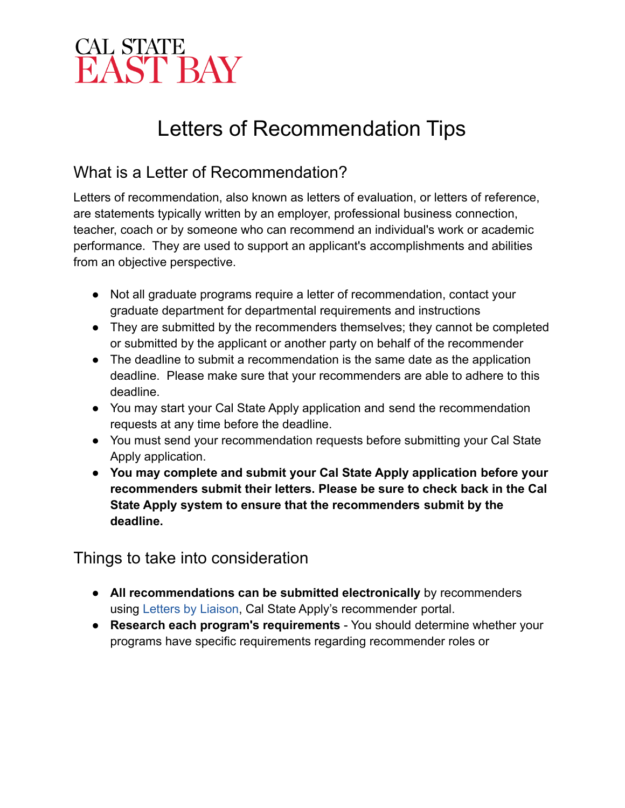### Letters of Recommendation Tips

### What is a Letter of Recommendation?

is a Letter of Recommendation?<br>
of recommendation, also known as letters of evaluation,<br>
tements typically written by an employer, professional bus<br>
tr, coach or by someone who can recommend an individua<br>
nance. They are u Letters of recommendation, also known as letters of evaluation, or letters of reference, are statements typically written by an employer, professional business connection, teacher, coach or by someone who can recommend an individual's work or academic performance. They are used to support an applicant's accomplishments and abilities from an objective perspective.

- Not all graduate programs require a letter of recommendation, contact your graduate department for departmental requirements and instructions
- They are submitted by the recommenders themselves; they cannot be completed or submitted by the applicant or another party on behalf of the recommender
- The deadline to submit a recommendation is the same date as the application deadline. Please make sure that your recommenders are able to adhere to this deadline.
- You may start your Cal State Apply application and send the recommendation requests at any time before the deadline.
- You must send your recommendation requests before submitting your Cal State Apply application.
- **● You may complete and submit your Cal State Apply application before your recommenders submit their letters. Please be sure to check back in the Cal State Apply system to ensure that the recommenders submit by the deadline.**

Things to take into consideration

- **All recommendations can be submitted electronically** by recommenders using Letters by Liaison, Cal State Apply's recommender portal.
- programs have specific requirements regarding recommender roles or● **Research each program's requirements** - You should determine whether your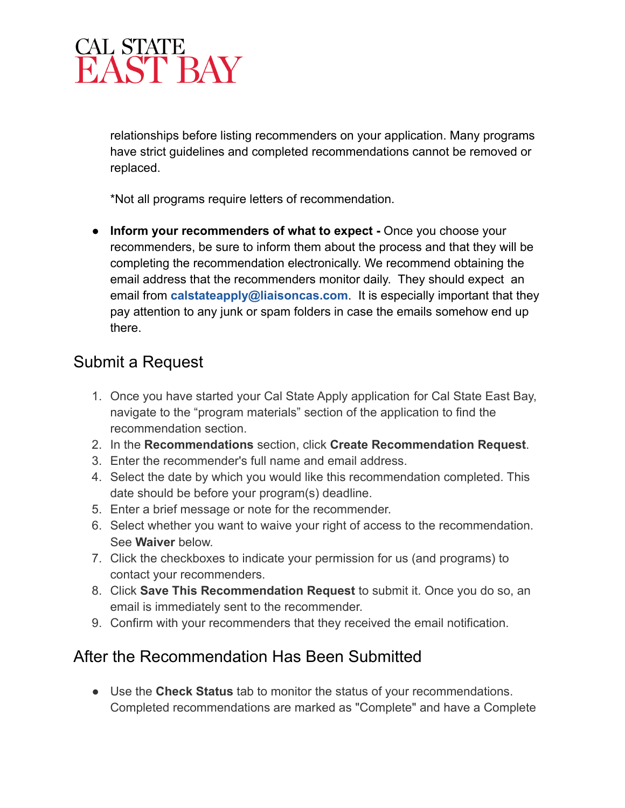relationships before listing recommenders on your application. Many programs have strict guidelines and completed recommendations cannot be removed or replaced.

\*Not all programs require letters of recommendation.

● **Inform your recommenders of what to expect -** Once you choose your recommenders, be sure to inform them about the process and that they will be completing the recommendation electronically. We recommend obtaining the email address that the recommenders monitor daily. They should expect an email from **[calstateapply@liaisoncas.com](mailto:calstateapply@liaisoncas.com)**. It is especially important that they pay attention to any junk or spam folders in case the emails somehow end up there.

- Submit a Request<br>1. Once you have si<br>navigate to the "p<br>recommendation<br>2. In the Recomme 1. Once you have started your Cal State Apply application for Cal State East Bay, navigate to the "program materials" section of the application to find the recommendation section.
	- 2. In the **Recommendations** section, click **Create Recommendation Request**.
	- 3. Enter the recommender's full name and email address.
	- 4. Select the date by which you would like this recommendation completed. This date should be before your program(s) deadline.
	- 5. Enter a brief message or note for the recommender.
	- See **Waiver** below. 6. Select whether you want to waive your right of access to the recommendation.
	- 7. Click the checkboxes to indicate your permission for us (and programs) to contact your recommenders.
	- 8. Click **Save This Recommendation Request** to submit it. Once you do so, an email is immediately sent to the recommender.
	- 9. Confirm with your recommenders that they received the email notification.

## After the Recommendation Has Been Submitted<br>• Use the Check Status tab to monitor the status of your re

● Use the **Check Status** tab to monitor the status of your recommendations. Completed recommendations are marked as "Complete" and have a Complete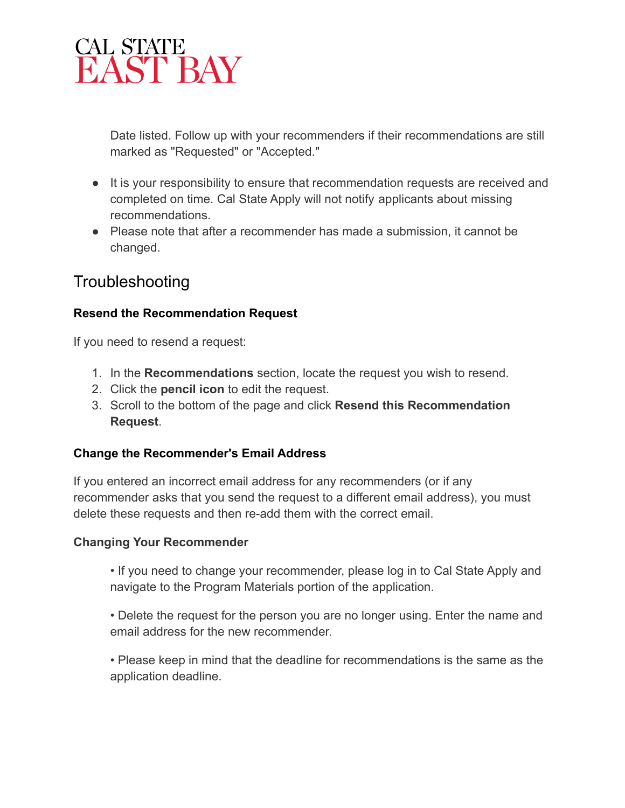Date listed. Follow up with your recommenders if their recommendations are still marked as "Requested" or "Accepted."

- It is your responsibility to ensure that recommendation requests are received and completed on time. Cal State Apply will not notify applicants about missing recommendations.
- Please note that after a recommender has made a submission, it cannot be changed.

### Troubleshooting

### **Resend the Recommendation Request**

If you need to resend a request:

- 1. In the **Recommendations** section, locate the request you wish to resend.
- 2. Click the **pencil icon** to edit the request.
- 3. Scroll to the bottom of the page and click **Resend this Recommendation Request**.

### **Change the Recommender's Email Address**

If you entered an incorrect email address for any recommenders (or if any recommender asks that you send the request to a different email address), you must delete these requests and then re-add them with the correct email.

#### **Changing Your Recommender**

• If you need to change your recommender, please log in to Cal State Apply and navigate to the Program Materials portion of the application.

• Delete the request for the person you are no longer using. Enter the name and email address for the new recommender.

• Please keep in mind that the deadline for recommendations is the same as the application deadline.